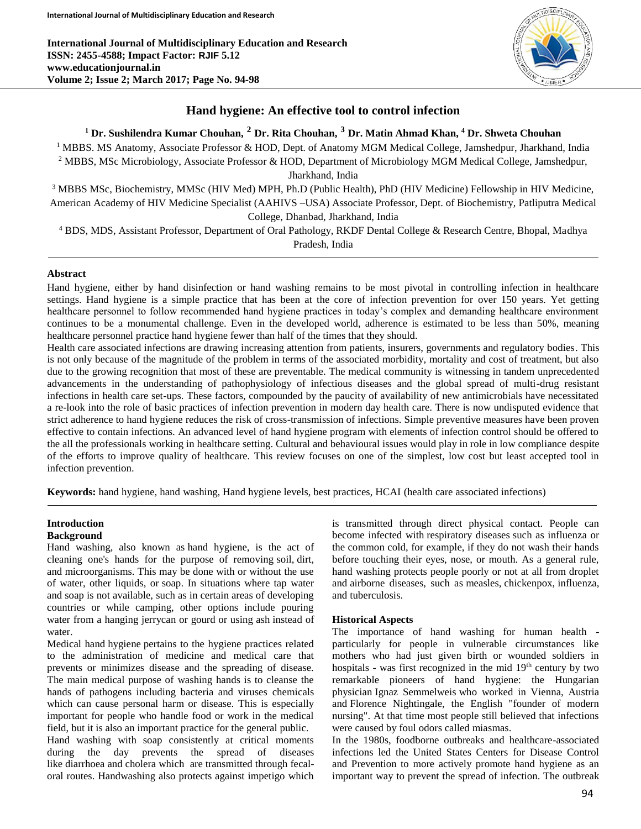

# **Hand hygiene: An effective tool to control infection**

# **<sup>1</sup> Dr. Sushilendra Kumar Chouhan, <sup>2</sup> Dr. Rita Chouhan, <sup>3</sup> Dr. Matin Ahmad Khan, <sup>4</sup> Dr. Shweta Chouhan**

<sup>1</sup> MBBS. MS Anatomy, Associate Professor & HOD, Dept. of Anatomy MGM Medical College, Jamshedpur, Jharkhand, India <sup>2</sup> MBBS, MSc Microbiology, Associate Professor & HOD, Department of Microbiology MGM Medical College, Jamshedpur,

Jharkhand, India

<sup>3</sup> MBBS MSc, Biochemistry, MMSc (HIV Med) MPH, Ph.D (Public Health), PhD (HIV Medicine) Fellowship in HIV Medicine, American Academy of HIV Medicine Specialist (AAHIVS –USA) Associate Professor, Dept. of Biochemistry, Patliputra Medical College, Dhanbad, Jharkhand, India

<sup>4</sup> BDS, MDS, Assistant Professor, Department of Oral Pathology, RKDF Dental College & Research Centre, Bhopal, Madhya Pradesh, India

#### **Abstract**

Hand hygiene, either by hand disinfection or hand washing remains to be most pivotal in controlling infection in healthcare settings. Hand hygiene is a simple practice that has been at the core of infection prevention for over 150 years. Yet getting healthcare personnel to follow recommended hand hygiene practices in today's complex and demanding healthcare environment continues to be a monumental challenge. Even in the developed world, adherence is estimated to be less than 50%, meaning healthcare personnel practice hand hygiene fewer than half of the times that they should.

Health care associated infections are drawing increasing attention from patients, insurers, governments and regulatory bodies. This is not only because of the magnitude of the problem in terms of the associated morbidity, mortality and cost of treatment, but also due to the growing recognition that most of these are preventable. The medical community is witnessing in tandem unprecedented advancements in the understanding of pathophysiology of infectious diseases and the global spread of multi-drug resistant infections in health care set-ups. These factors, compounded by the paucity of availability of new antimicrobials have necessitated a re-look into the role of basic practices of infection prevention in modern day health care. There is now undisputed evidence that strict adherence to hand hygiene reduces the risk of cross-transmission of infections. Simple preventive measures have been proven effective to contain infections. An advanced level of hand hygiene program with elements of infection control should be offered to the all the professionals working in healthcare setting. Cultural and behavioural issues would play in role in low compliance despite of the efforts to improve quality of healthcare. This review focuses on one of the simplest, low cost but least accepted tool in infection prevention.

**Keywords:** hand hygiene, hand washing, Hand hygiene levels, best practices, HCAI (health care associated infections)

## **Introduction**

#### **Background**

Hand washing, also known as hand hygiene, is the act of cleaning one's hands for the purpose of removing soil, dirt, and microorganisms. This may be done with or without the use of water, other liquids, or soap. In situations where tap water and soap is not available, such as in certain areas of developing countries or while camping, other options include pouring water from a hanging jerrycan or gourd or using ash instead of water.

Medical hand hygiene pertains to the hygiene practices related to the administration of medicine and medical care that prevents or minimizes disease and the spreading of disease. The main medical purpose of washing hands is to cleanse the hands of pathogens including bacteria and viruses chemicals which can cause personal harm or disease. This is especially important for people who handle food or work in the medical field, but it is also an important practice for the general public.

Hand washing with soap consistently at critical moments during the day prevents the spread of diseases like diarrhoea and cholera which are transmitted through fecaloral routes. Handwashing also protects against impetigo which

is transmitted through direct physical contact. People can become infected with respiratory diseases such as influenza or the common cold, for example, if they do not wash their hands before touching their eyes, nose, or mouth. As a general rule, hand washing protects people poorly or not at all from droplet and airborne diseases, such as measles, chickenpox, influenza, and tuberculosis.

#### **Historical Aspects**

The importance of hand washing for human health particularly for people in vulnerable circumstances like mothers who had just given birth or wounded soldiers in hospitals - was first recognized in the mid 19<sup>th</sup> century by two remarkable pioneers of hand hygiene: the Hungarian physician Ignaz Semmelweis who worked in Vienna, Austria and Florence Nightingale, the English "founder of modern nursing". At that time most people still believed that infections were caused by foul odors called miasmas.

In the 1980s, foodborne outbreaks and healthcare-associated infections led the United States Centers for Disease Control and Prevention to more actively promote hand hygiene as an important way to prevent the spread of infection. The outbreak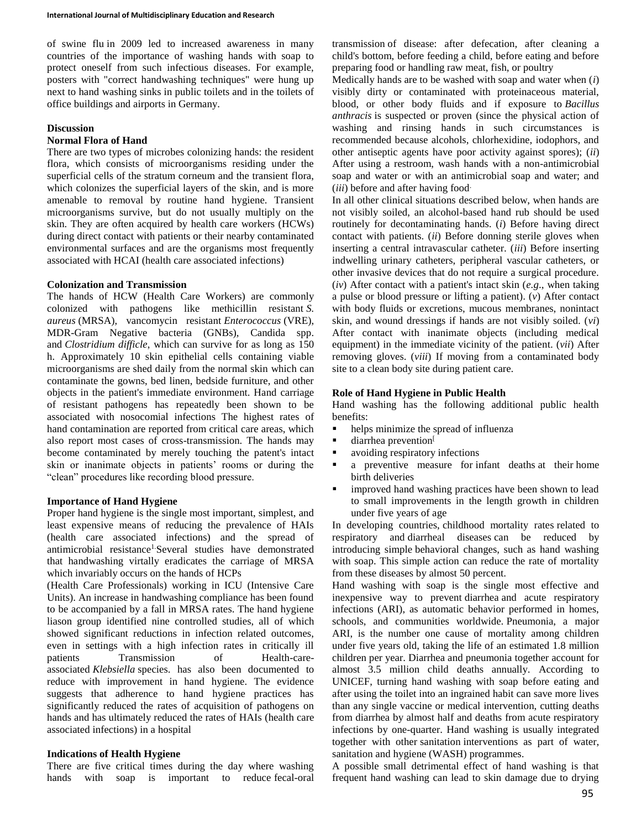of swine flu in 2009 led to increased awareness in many countries of the importance of washing hands with soap to protect oneself from such infectious diseases. For example, posters with "correct handwashing techniques" were hung up next to hand washing sinks in public toilets and in the toilets of office buildings and airports in Germany.

### **Discussion**

#### **Normal Flora of Hand**

There are two types of microbes colonizing hands: the resident flora, which consists of microorganisms residing under the superficial cells of the stratum corneum and the transient flora, which colonizes the superficial layers of the skin, and is more amenable to removal by routine hand hygiene. Transient microorganisms survive, but do not usually multiply on the skin. They are often acquired by health care workers (HCWs) during direct contact with patients or their nearby contaminated environmental surfaces and are the organisms most frequently associated with HCAI (health care associated infections)

#### **Colonization and Transmission**

The hands of HCW (Health Care Workers) are commonly colonized with pathogens like methicillin resistant *S. aureus* (MRSA), vancomycin resistant *Enterococcus* (VRE), MDR-Gram Negative bacteria (GNBs), Candida spp. and *Clostridium difficle*, which can survive for as long as 150 h. Approximately 10 skin epithelial cells containing viable microorganisms are shed daily from the normal skin which can contaminate the gowns, bed linen, bedside furniture, and other objects in the patient's immediate environment. Hand carriage of resistant pathogens has repeatedly been shown to be associated with nosocomial infections The highest rates of hand contamination are reported from critical care areas, which also report most cases of cross-transmission. The hands may become contaminated by merely touching the patent's intact skin or inanimate objects in patients' rooms or during the "clean" procedures like recording blood pressure.

### **Importance of Hand Hygiene**

Proper hand hygiene is the single most important, simplest, and least expensive means of reducing the prevalence of HAIs (health care associated infections) and the spread of antimicrobial resistance<sup>1</sup>.Several studies have demonstrated that handwashing virtally eradicates the carriage of MRSA which invariably occurs on the hands of HCPs

(Health Care Professionals) working in ICU (Intensive Care Units). An increase in handwashing compliance has been found to be accompanied by a fall in MRSA rates. The hand hygiene liason group identified nine controlled studies, all of which showed significant reductions in infection related outcomes, even in settings with a high infection rates in critically ill patients Transmission of Health-careassociated *Klebsiella* species. has also been documented to reduce with improvement in hand hygiene. The evidence suggests that adherence to hand hygiene practices has significantly reduced the rates of acquisition of pathogens on hands and has ultimately reduced the rates of HAIs (health care associated infections) in a hospital

#### **Indications of Health Hygiene**

There are five critical times during the day where washing hands with soap is important to reduce fecal-oral transmission of disease: after defecation, after cleaning a child's bottom, before feeding a child, before eating and before preparing food or handling raw meat, fish, or poultry

Medically hands are to be washed with soap and water when (*i*) visibly dirty or contaminated with proteinaceous material, blood, or other body fluids and if exposure to *Bacillus anthracis* is suspected or proven (since the physical action of washing and rinsing hands in such circumstances is recommended because alcohols, chlorhexidine, iodophors, and other antiseptic agents have poor activity against spores); (*ii*) After using a restroom, wash hands with a non-antimicrobial soap and water or with an antimicrobial soap and water; and (*iii*) before and after having food.

In all other clinical situations described below, when hands are not visibly soiled, an alcohol-based hand rub should be used routinely for decontaminating hands. (*i*) Before having direct contact with patients. (*ii*) Before donning sterile gloves when inserting a central intravascular catheter. (*iii*) Before inserting indwelling urinary catheters, peripheral vascular catheters, or other invasive devices that do not require a surgical procedure. (*iv*) After contact with a patient's intact skin (*e.g*., when taking a pulse or blood pressure or lifting a patient). (*v*) After contact with body fluids or excretions, mucous membranes, nonintact skin, and wound dressings if hands are not visibly soiled. (*vi*) After contact with inanimate objects (including medical equipment) in the immediate vicinity of the patient. (*vii*) After removing gloves. (*viii*) If moving from a contaminated body site to a clean body site during patient care.

#### **Role of Hand Hygiene in Public Health**

Hand washing has the following additional public health benefits:

- helps minimize the spread of influenza
- $\blacksquare$  diarrhea prevention
- **a** avoiding respiratory infections
- a preventive measure for infant deaths at their home birth deliveries
- **improved hand washing practices have been shown to lead** to small improvements in the length growth in children under five years of age

In developing countries, childhood mortality rates related to respiratory and diarrheal diseases can be reduced by introducing simple behavioral changes, such as hand washing with soap. This simple action can reduce the rate of mortality from these diseases by almost 50 percent.

Hand washing with soap is the single most effective and inexpensive way to prevent diarrhea and acute respiratory infections (ARI), as automatic behavior performed in homes, schools, and communities worldwide. Pneumonia, a major ARI, is the number one cause of mortality among children under five years old, taking the life of an estimated 1.8 million children per year. Diarrhea and pneumonia together account for almost 3.5 million child deaths annually. According to UNICEF, turning hand washing with soap before eating and after using the toilet into an ingrained habit can save more lives than any single vaccine or medical intervention, cutting deaths from diarrhea by almost half and deaths from acute respiratory infections by one-quarter. Hand washing is usually integrated together with other sanitation interventions as part of water, sanitation and hygiene (WASH) programmes.

A possible small detrimental effect of hand washing is that frequent hand washing can lead to skin damage due to drying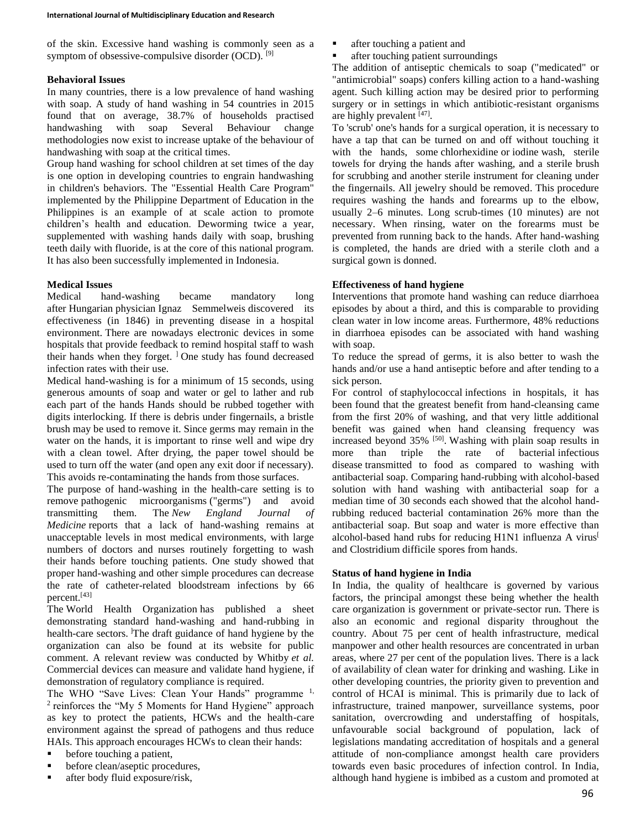of the skin. Excessive hand washing is commonly seen as a symptom of obsessive-compulsive disorder (OCD). [9]

### **Behavioral Issues**

In many countries, there is a low prevalence of hand washing with soap. A study of hand washing in 54 countries in 2015 found that on average, 38.7% of households practised handwashing with soap Several Behaviour change methodologies now exist to increase uptake of the behaviour of handwashing with soap at the critical times.

Group hand washing for school children at set times of the day is one option in developing countries to engrain handwashing in children's behaviors. The "Essential Health Care Program" implemented by the Philippine Department of Education in the Philippines is an example of at scale action to promote children's health and education. Deworming twice a year, supplemented with washing hands daily with soap, brushing teeth daily with fluoride, is at the core of this national program. It has also been successfully implemented in Indonesia.

## **Medical Issues**

Medical hand-washing became mandatory long after Hungarian physician Ignaz Semmelweis discovered its effectiveness (in 1846) in preventing disease in a hospital environment. There are nowadays electronic devices in some hospitals that provide feedback to remind hospital staff to wash their hands when they forget.  $\frac{1}{1}$  One study has found decreased infection rates with their use.

Medical hand-washing is for a minimum of 15 seconds, using generous amounts of soap and water or gel to lather and rub each part of the hands Hands should be rubbed together with digits interlocking. If there is debris under fingernails, a bristle brush may be used to remove it. Since germs may remain in the water on the hands, it is important to rinse well and wipe dry with a clean towel. After drying, the paper towel should be used to turn off the water (and open any exit door if necessary). This avoids re-contaminating the hands from those surfaces.

The purpose of hand-washing in the health-care setting is to remove pathogenic microorganisms ("germs") and avoid transmitting them. The *New England Journal of Medicine* reports that a lack of hand-washing remains at unacceptable levels in most medical environments, with large numbers of doctors and nurses routinely forgetting to wash their hands before touching patients. One study showed that proper hand-washing and other simple procedures can decrease the rate of catheter-related bloodstream infections by 66 percent.[43]

The World Health Organization has published a sheet demonstrating standard hand-washing and hand-rubbing in health-care sectors. The draft guidance of hand hygiene by the organization can also be found at its website for public comment. A relevant review was conducted by Whitby *et al.* Commercial devices can measure and validate hand hygiene, if demonstration of regulatory compliance is required.

The WHO "Save Lives: Clean Your Hands" programme <sup>1,</sup> <sup>2</sup> reinforces the "My 5 Moments for Hand Hygiene" approach as key to protect the patients, HCWs and the health-care environment against the spread of pathogens and thus reduce HAIs. This approach encourages HCWs to clean their hands:

- before touching a patient,
- before clean/aseptic procedures,
- after body fluid exposure/risk,
- after touching a patient and
- after touching patient surroundings

The addition of antiseptic chemicals to soap ("medicated" or "antimicrobial" soaps) confers killing action to a hand-washing agent. Such killing action may be desired prior to performing surgery or in settings in which antibiotic-resistant organisms are highly prevalent [47].

To 'scrub' one's hands for a surgical operation, it is necessary to have a tap that can be turned on and off without touching it with the hands, some chlorhexidine or iodine wash, sterile towels for drying the hands after washing, and a sterile brush for scrubbing and another sterile instrument for cleaning under the fingernails. All jewelry should be removed. This procedure requires washing the hands and forearms up to the elbow, usually 2–6 minutes. Long scrub-times (10 minutes) are not necessary. When rinsing, water on the forearms must be prevented from running back to the hands. After hand-washing is completed, the hands are dried with a sterile cloth and a surgical gown is donned.

## **Effectiveness of hand hygiene**

Interventions that promote hand washing can reduce diarrhoea episodes by about a third, and this is comparable to providing clean water in low income areas. Furthermore, 48% reductions in diarrhoea episodes can be associated with hand washing with soap.

To reduce the spread of germs, it is also better to wash the hands and/or use a hand antiseptic before and after tending to a sick person.

For control of staphylococcal infections in hospitals, it has been found that the greatest benefit from hand-cleansing came from the first 20% of washing, and that very little additional benefit was gained when hand cleansing frequency was increased beyond 35% <sup>[50]</sup>. Washing with plain soap results in more than triple the rate of bacterial infectious disease transmitted to food as compared to washing with antibacterial soap. Comparing hand-rubbing with alcohol-based solution with hand washing with antibacterial soap for a median time of 30 seconds each showed that the alcohol handrubbing reduced bacterial contamination 26% more than the antibacterial soap. But soap and water is more effective than alcohol-based hand rubs for reducing H1N1 influenza A virus<sup>[1]</sup> and Clostridium difficile spores from hands.

## **Status of hand hygiene in India**

In India, the quality of healthcare is governed by various factors, the principal amongst these being whether the health care organization is government or private-sector run. There is also an economic and regional disparity throughout the country. About 75 per cent of health infrastructure, medical manpower and other health resources are concentrated in urban areas, where 27 per cent of the population lives. There is a lack of availability of clean water for drinking and washing. Like in other developing countries, the priority given to prevention and control of HCAI is minimal. This is primarily due to lack of infrastructure, trained manpower, surveillance systems, poor sanitation, overcrowding and understaffing of hospitals, unfavourable social background of population, lack of legislations mandating accreditation of hospitals and a general attitude of non-compliance amongst health care providers towards even basic procedures of infection control. In India, although hand hygiene is imbibed as a custom and promoted at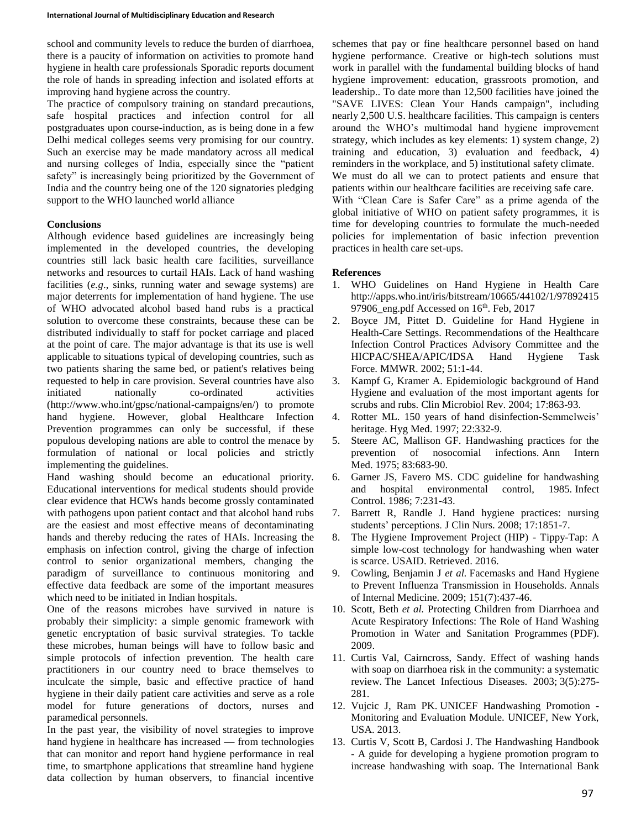school and community levels to reduce the burden of diarrhoea, there is a paucity of information on activities to promote hand hygiene in health care professionals Sporadic reports document the role of hands in spreading infection and isolated efforts at improving hand hygiene across the country.

The practice of compulsory training on standard precautions, safe hospital practices and infection control for all postgraduates upon course-induction, as is being done in a few Delhi medical colleges seems very promising for our country. Such an exercise may be made mandatory across all medical and nursing colleges of India, especially since the "patient safety" is increasingly being prioritized by the Government of India and the country being one of the 120 signatories pledging support to the WHO launched world alliance

## **Conclusions**

Although evidence based guidelines are increasingly being implemented in the developed countries, the developing countries still lack basic health care facilities, surveillance networks and resources to curtail HAIs. Lack of hand washing facilities (*e.g*., sinks, running water and sewage systems) are major deterrents for implementation of hand hygiene. The use of WHO advocated alcohol based hand rubs is a practical solution to overcome these constraints, because these can be distributed individually to staff for pocket carriage and placed at the point of care. The major advantage is that its use is well applicable to situations typical of developing countries, such as two patients sharing the same bed, or patient's relatives being requested to help in care provision. Several countries have also initiated nationally co-ordinated activities (http://www.who.int/gpsc/national-campaigns/en/) to promote hand hygiene. However, global Healthcare Infection Prevention programmes can only be successful, if these populous developing nations are able to control the menace by formulation of national or local policies and strictly implementing the guidelines.

Hand washing should become an educational priority. Educational interventions for medical students should provide clear evidence that HCWs hands become grossly contaminated with pathogens upon patient contact and that alcohol hand rubs are the easiest and most effective means of decontaminating hands and thereby reducing the rates of HAIs. Increasing the emphasis on infection control, giving the charge of infection control to senior organizational members, changing the paradigm of surveillance to continuous monitoring and effective data feedback are some of the important measures which need to be initiated in Indian hospitals.

One of the reasons microbes have survived in nature is probably their simplicity: a simple genomic framework with genetic encryptation of basic survival strategies. To tackle these microbes, human beings will have to follow basic and simple protocols of infection prevention. The health care practitioners in our country need to brace themselves to inculcate the simple, basic and effective practice of hand hygiene in their daily patient care activities and serve as a role model for future generations of doctors, nurses and paramedical personnels.

In the past year, the visibility of novel strategies to improve hand hygiene in healthcare has increased — from technologies that can monitor and report hand hygiene performance in real time, to smartphone applications that streamline hand hygiene data collection by human observers, to financial incentive

schemes that pay or fine healthcare personnel based on hand hygiene performance. Creative or high-tech solutions must work in parallel with the fundamental building blocks of hand hygiene improvement: education, grassroots promotion, and leadership.. To date more than 12,500 facilities have joined the "SAVE LIVES: Clean Your Hands campaign", including nearly 2,500 U.S. healthcare facilities. This campaign is centers around the WHO's multimodal hand hygiene improvement strategy, which includes as key elements: 1) system change, 2) training and education, 3) evaluation and feedback, 4) reminders in the workplace, and 5) institutional safety climate. We must do all we can to protect patients and ensure that patients within our healthcare facilities are receiving safe care. With "Clean Care is Safer Care" as a prime agenda of the global initiative of WHO on patient safety programmes, it is time for developing countries to formulate the much-needed policies for implementation of basic infection prevention practices in health care set-ups.

## **References**

- 1. WHO Guidelines on Hand Hygiene in Health Care http://apps.who.int/iris/bitstream/10665/44102/1/97892415 97906\_eng.pdf Accessed on  $16<sup>th</sup>$ . Feb, 2017
- 2. Boyce JM, Pittet D. Guideline for Hand Hygiene in Health-Care Settings. Recommendations of the Healthcare Infection Control Practices Advisory Committee and the HICPAC/SHEA/APIC/IDSA Hand Hygiene Task Force. MMWR. 2002; 51:1-44.
- 3. Kampf G, Kramer A. Epidemiologic background of Hand Hygiene and evaluation of the most important agents for scrubs and rubs. Clin Microbiol Rev. 2004; 17:863-93.
- 4. Rotter ML. 150 years of hand disinfection-Semmelweis' heritage. Hyg Med. 1997; 22:332-9.
- 5. Steere AC, Mallison GF. Handwashing practices for the prevention of nosocomial infections. Ann Intern Med. 1975; 83:683-90.
- 6. Garner JS, Favero MS. CDC guideline for handwashing and hospital environmental control, 1985. Infect Control. 1986; 7:231-43.
- 7. Barrett R, Randle J. Hand hygiene practices: nursing students' perceptions. J Clin Nurs. 2008; 17:1851-7.
- 8. The Hygiene Improvement Project (HIP) Tippy-Tap: A simple low-cost technology for handwashing when water is scarce. USAID. Retrieved. 2016.
- 9. Cowling, Benjamin J *et al.* Facemasks and Hand Hygiene to Prevent Influenza Transmission in Households. Annals of Internal Medicine. 2009; 151(7):437-46.
- 10. Scott, Beth *et al.* Protecting Children from Diarrhoea and Acute Respiratory Infections: The Role of Hand Washing Promotion in Water and Sanitation Programmes (PDF). 2009.
- 11. Curtis Val, Cairncross, Sandy. Effect of washing hands with soap on diarrhoea risk in the community: a systematic review. The Lancet Infectious Diseases. 2003; 3(5):275- 281.
- 12. Vujcic J, Ram PK. UNICEF Handwashing Promotion Monitoring and Evaluation Module. UNICEF, New York, USA. 2013.
- 13. Curtis V, Scott B, Cardosi J. The Handwashing Handbook - A guide for developing a hygiene promotion program to increase handwashing with soap. The International Bank